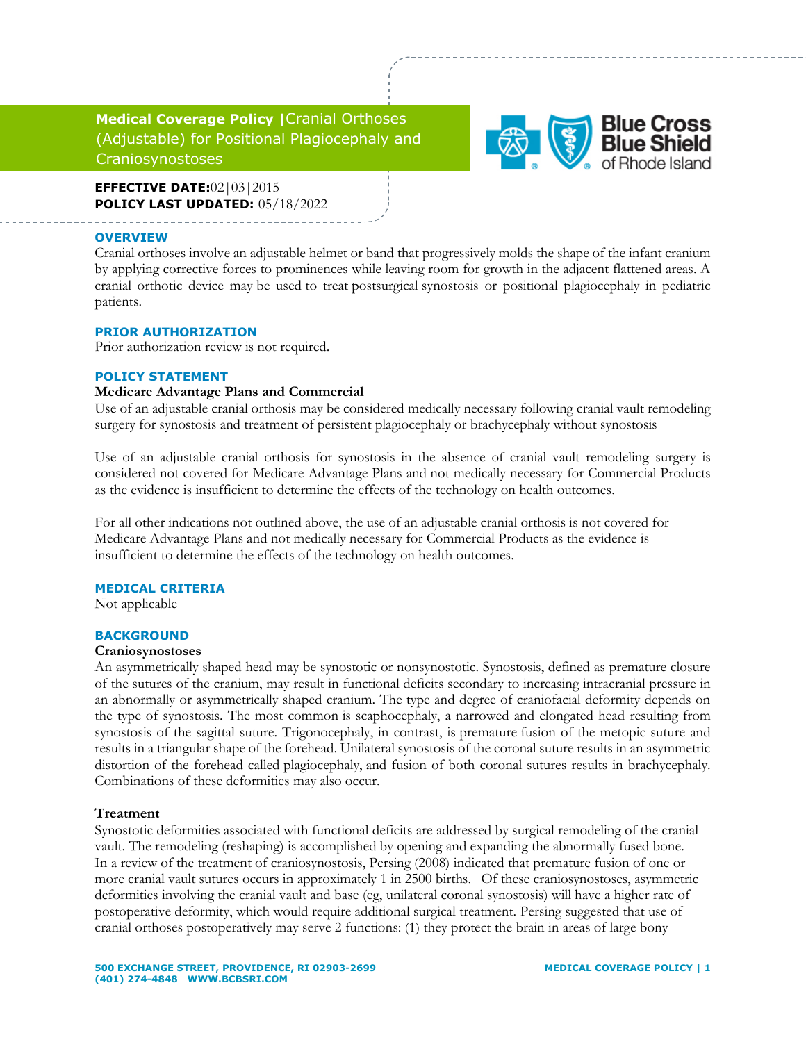# **Medical Coverage Policy |**Cranial Orthoses (Adjustable) for Positional Plagiocephaly and Craniosynostoses

**EFFECTIVE DATE:**02|03|2015 **POLICY LAST UPDATED:** 05/18/2022

#### **OVERVIEW**

Cranial orthoses involve an adjustable helmet or band that progressively molds the shape of the infant cranium by applying corrective forces to prominences while leaving room for growth in the adjacent flattened areas. A cranial orthotic device may be used to treat postsurgical synostosis or positional plagiocephaly in pediatric patients.

### **PRIOR AUTHORIZATION**

Prior authorization review is not required.

### **POLICY STATEMENT**

### **Medicare Advantage Plans and Commercial**

Use of an adjustable cranial orthosis may be considered medically necessary following cranial vault remodeling surgery for synostosis and treatment of persistent plagiocephaly or brachycephaly without synostosis

Use of an adjustable cranial orthosis for synostosis in the absence of cranial vault remodeling surgery is considered not covered for Medicare Advantage Plans and not medically necessary for Commercial Products as the evidence is insufficient to determine the effects of the technology on health outcomes.

For all other indications not outlined above, the use of an adjustable cranial orthosis is not covered for Medicare Advantage Plans and not medically necessary for Commercial Products as the evidence is insufficient to determine the effects of the technology on health outcomes.

#### **MEDICAL CRITERIA**

Not applicable

#### **BACKGROUND**

#### **Craniosynostoses**

An asymmetrically shaped head may be synostotic or nonsynostotic. Synostosis, defined as premature closure of the sutures of the cranium, may result in functional deficits secondary to increasing intracranial pressure in an abnormally or asymmetrically shaped cranium. The type and degree of craniofacial deformity depends on the type of synostosis. The most common is scaphocephaly, a narrowed and elongated head resulting from synostosis of the sagittal suture. Trigonocephaly, in contrast, is premature fusion of the metopic suture and results in a triangular shape of the forehead. Unilateral synostosis of the coronal suture results in an asymmetric distortion of the forehead called plagiocephaly, and fusion of both coronal sutures results in brachycephaly. Combinations of these deformities may also occur.

#### **Treatment**

Synostotic deformities associated with functional deficits are addressed by surgical remodeling of the cranial vault. The remodeling (reshaping) is accomplished by opening and expanding the abnormally fused bone. In a review of the treatment of craniosynostosis, Persing (2008) indicated that premature fusion of one or more cranial vault sutures occurs in approximately 1 in 2500 births. Of these craniosynostoses, asymmetric deformities involving the cranial vault and base (eg, unilateral coronal synostosis) will have a higher rate of postoperative deformity, which would require additional surgical treatment. Persing suggested that use of cranial orthoses postoperatively may serve 2 functions: (1) they protect the brain in areas of large bony

**Blue Cross**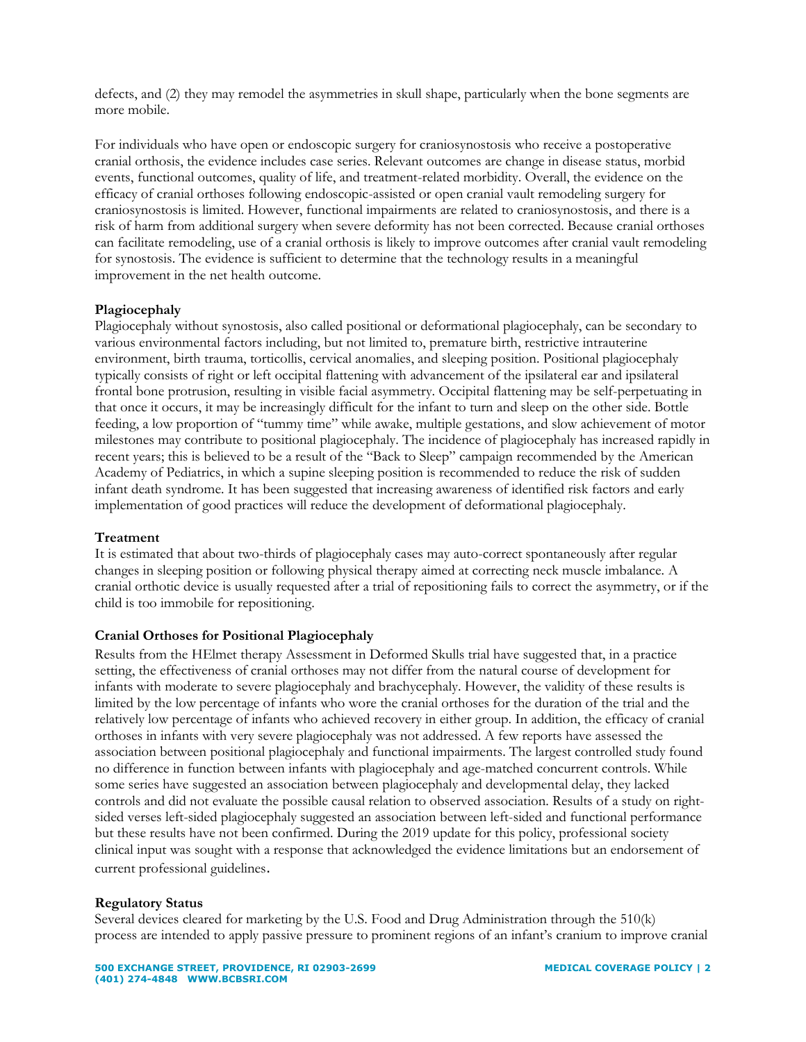defects, and (2) they may remodel the asymmetries in skull shape, particularly when the bone segments are more mobile.

For individuals who have open or endoscopic surgery for craniosynostosis who receive a postoperative cranial orthosis, the evidence includes case series. Relevant outcomes are change in disease status, morbid events, functional outcomes, quality of life, and treatment-related morbidity. Overall, the evidence on the efficacy of cranial orthoses following endoscopic-assisted or open cranial vault remodeling surgery for craniosynostosis is limited. However, functional impairments are related to craniosynostosis, and there is a risk of harm from additional surgery when severe deformity has not been corrected. Because cranial orthoses can facilitate remodeling, use of a cranial orthosis is likely to improve outcomes after cranial vault remodeling for synostosis. The evidence is sufficient to determine that the technology results in a meaningful improvement in the net health outcome.

## **Plagiocephaly**

Plagiocephaly without synostosis, also called positional or deformational plagiocephaly, can be secondary to various environmental factors including, but not limited to, premature birth, restrictive intrauterine environment, birth trauma, torticollis, cervical anomalies, and sleeping position. Positional plagiocephaly typically consists of right or left occipital flattening with advancement of the ipsilateral ear and ipsilateral frontal bone protrusion, resulting in visible facial asymmetry. Occipital flattening may be self-perpetuating in that once it occurs, it may be increasingly difficult for the infant to turn and sleep on the other side. Bottle feeding, a low proportion of "tummy time" while awake, multiple gestations, and slow achievement of motor milestones may contribute to positional plagiocephaly. The incidence of plagiocephaly has increased rapidly in recent years; this is believed to be a result of the "Back to Sleep" campaign recommended by the American Academy of Pediatrics, in which a supine sleeping position is recommended to reduce the risk of sudden infant death syndrome. It has been suggested that increasing awareness of identified risk factors and early implementation of good practices will reduce the development of deformational plagiocephaly.

### **Treatment**

It is estimated that about two-thirds of plagiocephaly cases may auto-correct spontaneously after regular changes in sleeping position or following physical therapy aimed at correcting neck muscle imbalance. A cranial orthotic device is usually requested after a trial of repositioning fails to correct the asymmetry, or if the child is too immobile for repositioning.

### **Cranial Orthoses for Positional Plagiocephaly**

Results from the HElmet therapy Assessment in Deformed Skulls trial have suggested that, in a practice setting, the effectiveness of cranial orthoses may not differ from the natural course of development for infants with moderate to severe plagiocephaly and brachycephaly. However, the validity of these results is limited by the low percentage of infants who wore the cranial orthoses for the duration of the trial and the relatively low percentage of infants who achieved recovery in either group. In addition, the efficacy of cranial orthoses in infants with very severe plagiocephaly was not addressed. A few reports have assessed the association between positional plagiocephaly and functional impairments. The largest controlled study found no difference in function between infants with plagiocephaly and age-matched concurrent controls. While some series have suggested an association between plagiocephaly and developmental delay, they lacked controls and did not evaluate the possible causal relation to observed association. Results of a study on rightsided verses left-sided plagiocephaly suggested an association between left-sided and functional performance but these results have not been confirmed. During the 2019 update for this policy, professional society clinical input was sought with a response that acknowledged the evidence limitations but an endorsement of current professional guidelines.

### **Regulatory Status**

Several devices cleared for marketing by the U.S. Food and Drug Administration through the 510(k) process are intended to apply passive pressure to prominent regions of an infant's cranium to improve cranial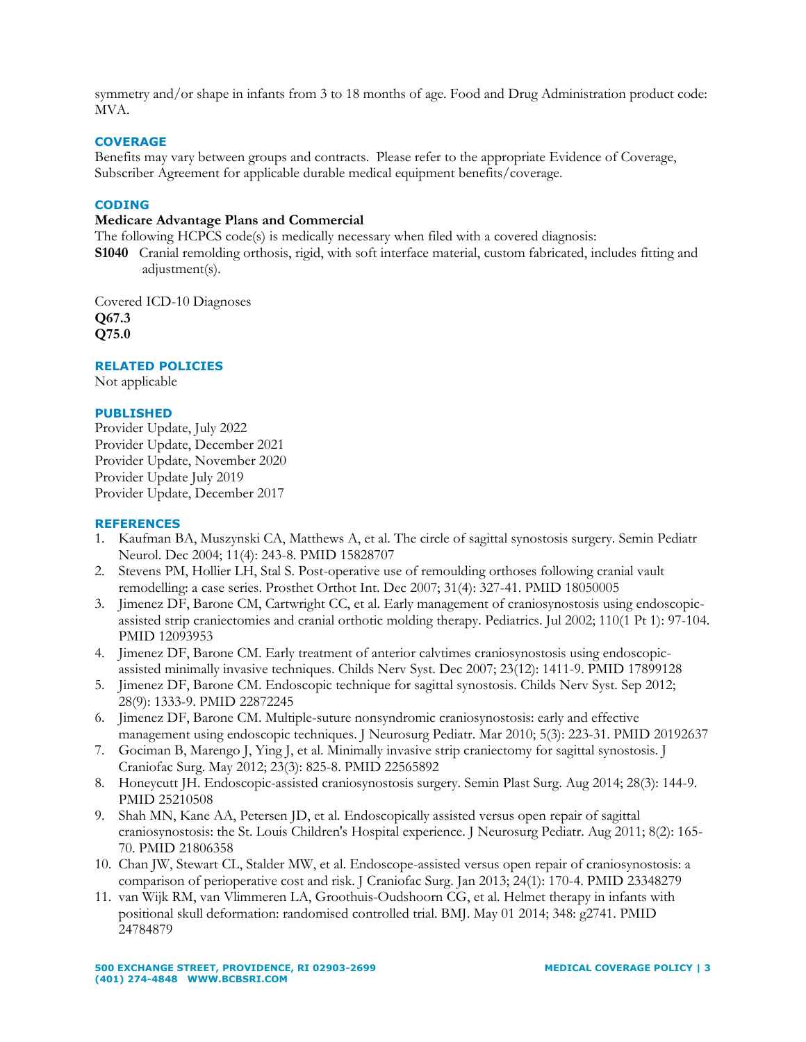symmetry and/or shape in infants from 3 to 18 months of age. Food and Drug Administration product code: MVA.

### **COVERAGE**

Benefits may vary between groups and contracts. Please refer to the appropriate Evidence of Coverage, Subscriber Agreement for applicable durable medical equipment benefits/coverage.

### **CODING**

#### **Medicare Advantage Plans and Commercial**

The following HCPCS code(s) is medically necessary when filed with a covered diagnosis:

**S1040** Cranial remolding orthosis, rigid, with soft interface material, custom fabricated, includes fitting and adjustment(s).

Covered ICD-10 Diagnoses **Q67.3 Q75.0**

**RELATED POLICIES**

Not applicable

### **PUBLISHED**

Provider Update, July 2022 Provider Update, December 2021 Provider Update, November 2020 Provider Update July 2019 Provider Update, December 2017

#### **REFERENCES**

- 1. Kaufman BA, Muszynski CA, Matthews A, et al. The circle of sagittal synostosis surgery. Semin Pediatr Neurol. Dec 2004; 11(4): 243-8. PMID 15828707
- 2. Stevens PM, Hollier LH, Stal S. Post-operative use of remoulding orthoses following cranial vault remodelling: a case series. Prosthet Orthot Int. Dec 2007; 31(4): 327-41. PMID 18050005
- 3. Jimenez DF, Barone CM, Cartwright CC, et al. Early management of craniosynostosis using endoscopicassisted strip craniectomies and cranial orthotic molding therapy. Pediatrics. Jul 2002; 110(1 Pt 1): 97-104. PMID 12093953
- 4. Jimenez DF, Barone CM. Early treatment of anterior calvtimes craniosynostosis using endoscopicassisted minimally invasive techniques. Childs Nerv Syst. Dec 2007; 23(12): 1411-9. PMID 17899128
- 5. Jimenez DF, Barone CM. Endoscopic technique for sagittal synostosis. Childs Nerv Syst. Sep 2012; 28(9): 1333-9. PMID 22872245
- 6. Jimenez DF, Barone CM. Multiple-suture nonsyndromic craniosynostosis: early and effective management using endoscopic techniques. J Neurosurg Pediatr. Mar 2010; 5(3): 223-31. PMID 20192637
- 7. Gociman B, Marengo J, Ying J, et al. Minimally invasive strip craniectomy for sagittal synostosis. J Craniofac Surg. May 2012; 23(3): 825-8. PMID 22565892
- 8. Honeycutt JH. Endoscopic-assisted craniosynostosis surgery. Semin Plast Surg. Aug 2014; 28(3): 144-9. PMID 25210508
- 9. Shah MN, Kane AA, Petersen JD, et al. Endoscopically assisted versus open repair of sagittal craniosynostosis: the St. Louis Children's Hospital experience. J Neurosurg Pediatr. Aug 2011; 8(2): 165- 70. PMID 21806358
- 10. Chan JW, Stewart CL, Stalder MW, et al. Endoscope-assisted versus open repair of craniosynostosis: a comparison of perioperative cost and risk. J Craniofac Surg. Jan 2013; 24(1): 170-4. PMID 23348279
- 11. van Wijk RM, van Vlimmeren LA, Groothuis-Oudshoorn CG, et al. Helmet therapy in infants with positional skull deformation: randomised controlled trial. BMJ. May 01 2014; 348: g2741. PMID 24784879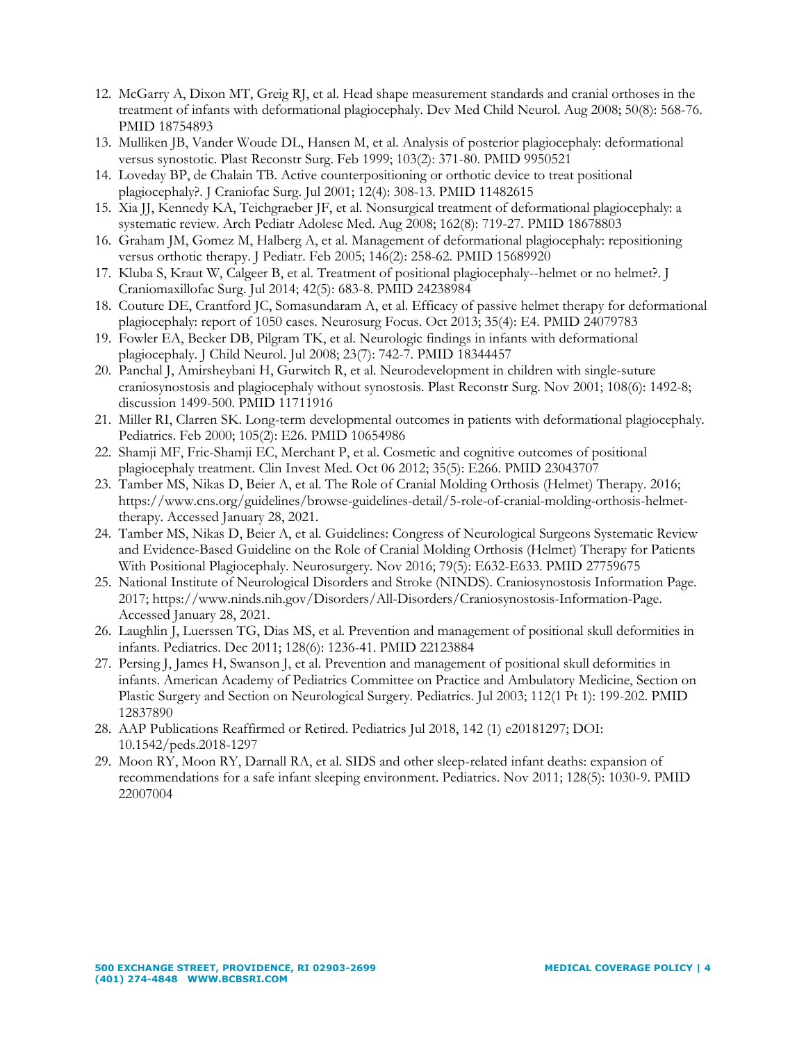- 12. McGarry A, Dixon MT, Greig RJ, et al. Head shape measurement standards and cranial orthoses in the treatment of infants with deformational plagiocephaly. Dev Med Child Neurol. Aug 2008; 50(8): 568-76. PMID 18754893
- 13. Mulliken JB, Vander Woude DL, Hansen M, et al. Analysis of posterior plagiocephaly: deformational versus synostotic. Plast Reconstr Surg. Feb 1999; 103(2): 371-80. PMID 9950521
- 14. Loveday BP, de Chalain TB. Active counterpositioning or orthotic device to treat positional plagiocephaly?. J Craniofac Surg. Jul 2001; 12(4): 308-13. PMID 11482615
- 15. Xia JJ, Kennedy KA, Teichgraeber JF, et al. Nonsurgical treatment of deformational plagiocephaly: a systematic review. Arch Pediatr Adolesc Med. Aug 2008; 162(8): 719-27. PMID 18678803
- 16. Graham JM, Gomez M, Halberg A, et al. Management of deformational plagiocephaly: repositioning versus orthotic therapy. J Pediatr. Feb 2005; 146(2): 258-62. PMID 15689920
- 17. Kluba S, Kraut W, Calgeer B, et al. Treatment of positional plagiocephaly--helmet or no helmet?. J Craniomaxillofac Surg. Jul 2014; 42(5): 683-8. PMID 24238984
- 18. Couture DE, Crantford JC, Somasundaram A, et al. Efficacy of passive helmet therapy for deformational plagiocephaly: report of 1050 cases. Neurosurg Focus. Oct 2013; 35(4): E4. PMID 24079783
- 19. Fowler EA, Becker DB, Pilgram TK, et al. Neurologic findings in infants with deformational plagiocephaly. J Child Neurol. Jul 2008; 23(7): 742-7. PMID 18344457
- 20. Panchal J, Amirsheybani H, Gurwitch R, et al. Neurodevelopment in children with single-suture craniosynostosis and plagiocephaly without synostosis. Plast Reconstr Surg. Nov 2001; 108(6): 1492-8; discussion 1499-500. PMID 11711916
- 21. Miller RI, Clarren SK. Long-term developmental outcomes in patients with deformational plagiocephaly. Pediatrics. Feb 2000; 105(2): E26. PMID 10654986
- 22. Shamji MF, Fric-Shamji EC, Merchant P, et al. Cosmetic and cognitive outcomes of positional plagiocephaly treatment. Clin Invest Med. Oct 06 2012; 35(5): E266. PMID 23043707
- 23. Tamber MS, Nikas D, Beier A, et al. The Role of Cranial Molding Orthosis (Helmet) Therapy. 2016; https://www.cns.org/guidelines/browse-guidelines-detail/5-role-of-cranial-molding-orthosis-helmettherapy. Accessed January 28, 2021.
- 24. Tamber MS, Nikas D, Beier A, et al. Guidelines: Congress of Neurological Surgeons Systematic Review and Evidence-Based Guideline on the Role of Cranial Molding Orthosis (Helmet) Therapy for Patients With Positional Plagiocephaly. Neurosurgery. Nov 2016; 79(5): E632-E633. PMID 27759675
- 25. National Institute of Neurological Disorders and Stroke (NINDS). Craniosynostosis Information Page. 2017; https://www.ninds.nih.gov/Disorders/All-Disorders/Craniosynostosis-Information-Page. Accessed January 28, 2021.
- 26. Laughlin J, Luerssen TG, Dias MS, et al. Prevention and management of positional skull deformities in infants. Pediatrics. Dec 2011; 128(6): 1236-41. PMID 22123884
- 27. Persing J, James H, Swanson J, et al. Prevention and management of positional skull deformities in infants. American Academy of Pediatrics Committee on Practice and Ambulatory Medicine, Section on Plastic Surgery and Section on Neurological Surgery. Pediatrics. Jul 2003; 112(1 Pt 1): 199-202. PMID 12837890
- 28. AAP Publications Reaffirmed or Retired. Pediatrics Jul 2018, 142 (1) e20181297; DOI: 10.1542/peds.2018-1297
- 29. Moon RY, Moon RY, Darnall RA, et al. SIDS and other sleep-related infant deaths: expansion of recommendations for a safe infant sleeping environment. Pediatrics. Nov 2011; 128(5): 1030-9. PMID 22007004